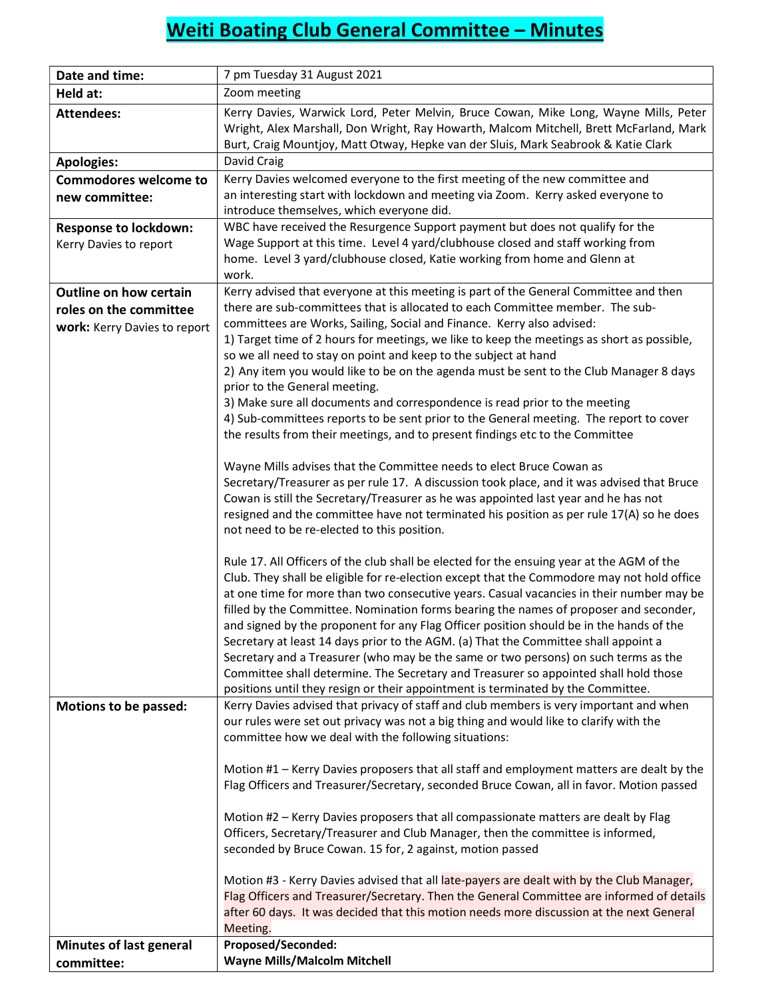## Weiti Boating Club General Committee – Minutes

| Date and time:                | 7 pm Tuesday 31 August 2021                                                                                                                                                                                                                                                                                                                                                                                                                                                                                                                                                                                                                                                                                                                                                                                                       |
|-------------------------------|-----------------------------------------------------------------------------------------------------------------------------------------------------------------------------------------------------------------------------------------------------------------------------------------------------------------------------------------------------------------------------------------------------------------------------------------------------------------------------------------------------------------------------------------------------------------------------------------------------------------------------------------------------------------------------------------------------------------------------------------------------------------------------------------------------------------------------------|
| Held at:                      | Zoom meeting                                                                                                                                                                                                                                                                                                                                                                                                                                                                                                                                                                                                                                                                                                                                                                                                                      |
| <b>Attendees:</b>             | Kerry Davies, Warwick Lord, Peter Melvin, Bruce Cowan, Mike Long, Wayne Mills, Peter<br>Wright, Alex Marshall, Don Wright, Ray Howarth, Malcom Mitchell, Brett McFarland, Mark<br>Burt, Craig Mountjoy, Matt Otway, Hepke van der Sluis, Mark Seabrook & Katie Clark                                                                                                                                                                                                                                                                                                                                                                                                                                                                                                                                                              |
| <b>Apologies:</b>             | David Craig                                                                                                                                                                                                                                                                                                                                                                                                                                                                                                                                                                                                                                                                                                                                                                                                                       |
| <b>Commodores welcome to</b>  | Kerry Davies welcomed everyone to the first meeting of the new committee and                                                                                                                                                                                                                                                                                                                                                                                                                                                                                                                                                                                                                                                                                                                                                      |
| new committee:                | an interesting start with lockdown and meeting via Zoom. Kerry asked everyone to<br>introduce themselves, which everyone did.                                                                                                                                                                                                                                                                                                                                                                                                                                                                                                                                                                                                                                                                                                     |
| <b>Response to lockdown:</b>  | WBC have received the Resurgence Support payment but does not qualify for the                                                                                                                                                                                                                                                                                                                                                                                                                                                                                                                                                                                                                                                                                                                                                     |
| Kerry Davies to report        | Wage Support at this time. Level 4 yard/clubhouse closed and staff working from<br>home. Level 3 yard/clubhouse closed, Katie working from home and Glenn at<br>work.                                                                                                                                                                                                                                                                                                                                                                                                                                                                                                                                                                                                                                                             |
| <b>Outline on how certain</b> | Kerry advised that everyone at this meeting is part of the General Committee and then                                                                                                                                                                                                                                                                                                                                                                                                                                                                                                                                                                                                                                                                                                                                             |
| roles on the committee        | there are sub-committees that is allocated to each Committee member. The sub-                                                                                                                                                                                                                                                                                                                                                                                                                                                                                                                                                                                                                                                                                                                                                     |
| work: Kerry Davies to report  | committees are Works, Sailing, Social and Finance. Kerry also advised:                                                                                                                                                                                                                                                                                                                                                                                                                                                                                                                                                                                                                                                                                                                                                            |
|                               | 1) Target time of 2 hours for meetings, we like to keep the meetings as short as possible,<br>so we all need to stay on point and keep to the subject at hand                                                                                                                                                                                                                                                                                                                                                                                                                                                                                                                                                                                                                                                                     |
|                               | 2) Any item you would like to be on the agenda must be sent to the Club Manager 8 days                                                                                                                                                                                                                                                                                                                                                                                                                                                                                                                                                                                                                                                                                                                                            |
|                               | prior to the General meeting.                                                                                                                                                                                                                                                                                                                                                                                                                                                                                                                                                                                                                                                                                                                                                                                                     |
|                               | 3) Make sure all documents and correspondence is read prior to the meeting                                                                                                                                                                                                                                                                                                                                                                                                                                                                                                                                                                                                                                                                                                                                                        |
|                               | 4) Sub-committees reports to be sent prior to the General meeting. The report to cover                                                                                                                                                                                                                                                                                                                                                                                                                                                                                                                                                                                                                                                                                                                                            |
|                               | the results from their meetings, and to present findings etc to the Committee                                                                                                                                                                                                                                                                                                                                                                                                                                                                                                                                                                                                                                                                                                                                                     |
|                               | Wayne Mills advises that the Committee needs to elect Bruce Cowan as                                                                                                                                                                                                                                                                                                                                                                                                                                                                                                                                                                                                                                                                                                                                                              |
|                               | Secretary/Treasurer as per rule 17. A discussion took place, and it was advised that Bruce                                                                                                                                                                                                                                                                                                                                                                                                                                                                                                                                                                                                                                                                                                                                        |
|                               | Cowan is still the Secretary/Treasurer as he was appointed last year and he has not                                                                                                                                                                                                                                                                                                                                                                                                                                                                                                                                                                                                                                                                                                                                               |
|                               | resigned and the committee have not terminated his position as per rule 17(A) so he does                                                                                                                                                                                                                                                                                                                                                                                                                                                                                                                                                                                                                                                                                                                                          |
|                               | not need to be re-elected to this position.                                                                                                                                                                                                                                                                                                                                                                                                                                                                                                                                                                                                                                                                                                                                                                                       |
|                               | Rule 17. All Officers of the club shall be elected for the ensuing year at the AGM of the<br>Club. They shall be eligible for re-election except that the Commodore may not hold office<br>at one time for more than two consecutive years. Casual vacancies in their number may be<br>filled by the Committee. Nomination forms bearing the names of proposer and seconder,<br>and signed by the proponent for any Flag Officer position should be in the hands of the<br>Secretary at least 14 days prior to the AGM. (a) That the Committee shall appoint a<br>Secretary and a Treasurer (who may be the same or two persons) on such terms as the<br>Committee shall determine. The Secretary and Treasurer so appointed shall hold those<br>positions until they resign or their appointment is terminated by the Committee. |
| Motions to be passed:         | Kerry Davies advised that privacy of staff and club members is very important and when<br>our rules were set out privacy was not a big thing and would like to clarify with the<br>committee how we deal with the following situations:                                                                                                                                                                                                                                                                                                                                                                                                                                                                                                                                                                                           |
|                               | Motion #1 - Kerry Davies proposers that all staff and employment matters are dealt by the<br>Flag Officers and Treasurer/Secretary, seconded Bruce Cowan, all in favor. Motion passed                                                                                                                                                                                                                                                                                                                                                                                                                                                                                                                                                                                                                                             |
|                               | Motion #2 - Kerry Davies proposers that all compassionate matters are dealt by Flag                                                                                                                                                                                                                                                                                                                                                                                                                                                                                                                                                                                                                                                                                                                                               |
|                               | Officers, Secretary/Treasurer and Club Manager, then the committee is informed,<br>seconded by Bruce Cowan. 15 for, 2 against, motion passed                                                                                                                                                                                                                                                                                                                                                                                                                                                                                                                                                                                                                                                                                      |
|                               | Motion #3 - Kerry Davies advised that all late-payers are dealt with by the Club Manager,<br>Flag Officers and Treasurer/Secretary. Then the General Committee are informed of details<br>after 60 days. It was decided that this motion needs more discussion at the next General<br>Meeting.                                                                                                                                                                                                                                                                                                                                                                                                                                                                                                                                    |
| Minutes of last general       | Proposed/Seconded:                                                                                                                                                                                                                                                                                                                                                                                                                                                                                                                                                                                                                                                                                                                                                                                                                |
| committee:                    | <b>Wayne Mills/Malcolm Mitchell</b>                                                                                                                                                                                                                                                                                                                                                                                                                                                                                                                                                                                                                                                                                                                                                                                               |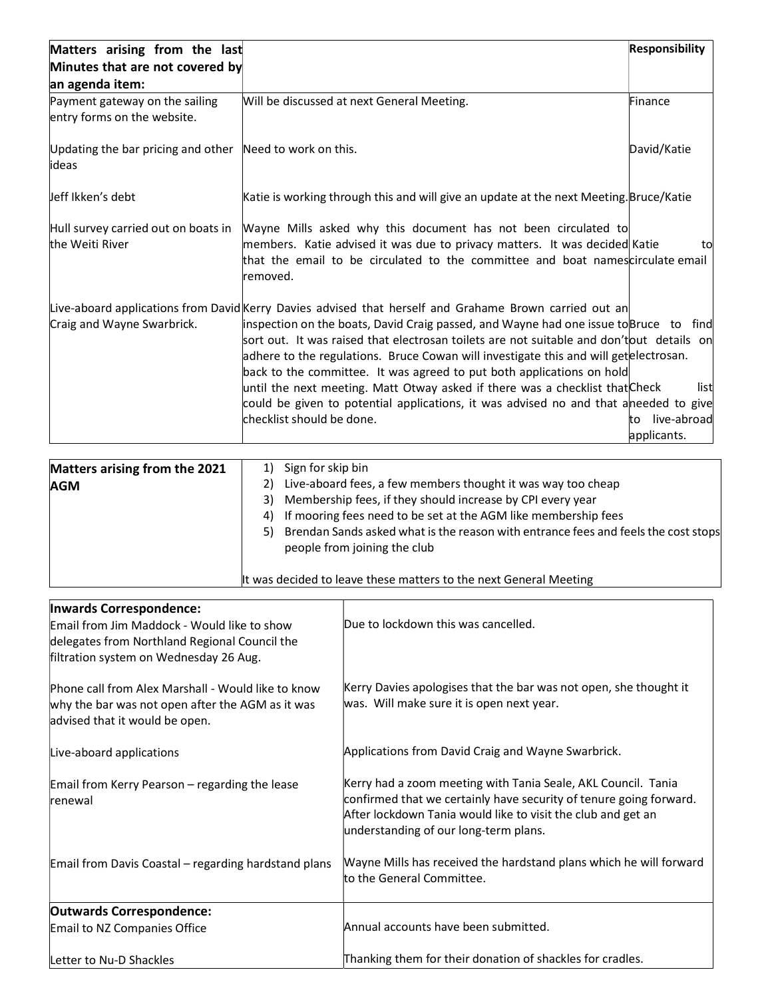| Matters arising from the last                                      |                                                                                                                                                                                                                                                                                                                                                                                                                                                                                                                                                                                                                                                                    | <b>Responsibility</b>                    |
|--------------------------------------------------------------------|--------------------------------------------------------------------------------------------------------------------------------------------------------------------------------------------------------------------------------------------------------------------------------------------------------------------------------------------------------------------------------------------------------------------------------------------------------------------------------------------------------------------------------------------------------------------------------------------------------------------------------------------------------------------|------------------------------------------|
| Minutes that are not covered by                                    |                                                                                                                                                                                                                                                                                                                                                                                                                                                                                                                                                                                                                                                                    |                                          |
| an agenda item:                                                    |                                                                                                                                                                                                                                                                                                                                                                                                                                                                                                                                                                                                                                                                    |                                          |
| Payment gateway on the sailing<br>entry forms on the website.      | Will be discussed at next General Meeting.                                                                                                                                                                                                                                                                                                                                                                                                                                                                                                                                                                                                                         | Finance                                  |
| Updating the bar pricing and other Need to work on this.<br>lideas |                                                                                                                                                                                                                                                                                                                                                                                                                                                                                                                                                                                                                                                                    | David/Katie                              |
| Jeff Ikken's debt                                                  | Katie is working through this and will give an update at the next Meeting. Bruce/Katie                                                                                                                                                                                                                                                                                                                                                                                                                                                                                                                                                                             |                                          |
| Hull survey carried out on boats in<br>the Weiti River             | Wayne Mills asked why this document has not been circulated to<br>members. Katie advised it was due to privacy matters. It was decided Katie<br>that the email to be circulated to the committee and boat namescirculate email<br>removed.                                                                                                                                                                                                                                                                                                                                                                                                                         | tο                                       |
| Craig and Wayne Swarbrick.                                         | Live-aboard applications from David Kerry Davies advised that herself and Grahame Brown carried out an<br>inspection on the boats, David Craig passed, and Wayne had one issue to Bruce to find<br>sort out. It was raised that electrosan toilets are not suitable and don'tout details on<br>adhere to the regulations. Bruce Cowan will investigate this and will getellectrosan.<br>back to the committee. It was agreed to put both applications on hold<br>until the next meeting. Matt Otway asked if there was a checklist that Check<br>could be given to potential applications, it was advised no and that aneeded to give<br>checklist should be done. | list<br>live-abroad<br>to<br>applicants. |

| Matters arising from the 2021 | 1) | Sign for skip bin                                                                                                  |
|-------------------------------|----|--------------------------------------------------------------------------------------------------------------------|
| <b>AGM</b>                    | 2) | Live-aboard fees, a few members thought it was way too cheap                                                       |
|                               | 3) | Membership fees, if they should increase by CPI every year                                                         |
|                               | 4) | If mooring fees need to be set at the AGM like membership fees                                                     |
|                               | 5) | Brendan Sands asked what is the reason with entrance fees and feels the cost stops<br>people from joining the club |
|                               |    | It was decided to leave these matters to the next General Meeting                                                  |

| <b>Inwards Correspondence:</b>                                                                                                           |                                                                                                                                                                                                                                              |
|------------------------------------------------------------------------------------------------------------------------------------------|----------------------------------------------------------------------------------------------------------------------------------------------------------------------------------------------------------------------------------------------|
| Email from Jim Maddock - Would like to show                                                                                              | Due to lockdown this was cancelled.                                                                                                                                                                                                          |
| delegates from Northland Regional Council the                                                                                            |                                                                                                                                                                                                                                              |
| filtration system on Wednesday 26 Aug.                                                                                                   |                                                                                                                                                                                                                                              |
| Phone call from Alex Marshall - Would like to know<br>why the bar was not open after the AGM as it was<br>advised that it would be open. | Kerry Davies apologises that the bar was not open, she thought it<br>was. Will make sure it is open next year.                                                                                                                               |
| Live-aboard applications                                                                                                                 | Applications from David Craig and Wayne Swarbrick.                                                                                                                                                                                           |
| Email from Kerry Pearson - regarding the lease<br><b>renewal</b>                                                                         | Kerry had a zoom meeting with Tania Seale, AKL Council. Tania<br>confirmed that we certainly have security of tenure going forward.<br>After lockdown Tania would like to visit the club and get an<br>understanding of our long-term plans. |
| Email from Davis Coastal - regarding hardstand plans                                                                                     | Wayne Mills has received the hardstand plans which he will forward<br>to the General Committee.                                                                                                                                              |
| <b>Outwards Correspondence:</b>                                                                                                          |                                                                                                                                                                                                                                              |
| Email to NZ Companies Office                                                                                                             | Annual accounts have been submitted.                                                                                                                                                                                                         |
| Letter to Nu-D Shackles                                                                                                                  | Thanking them for their donation of shackles for cradles.                                                                                                                                                                                    |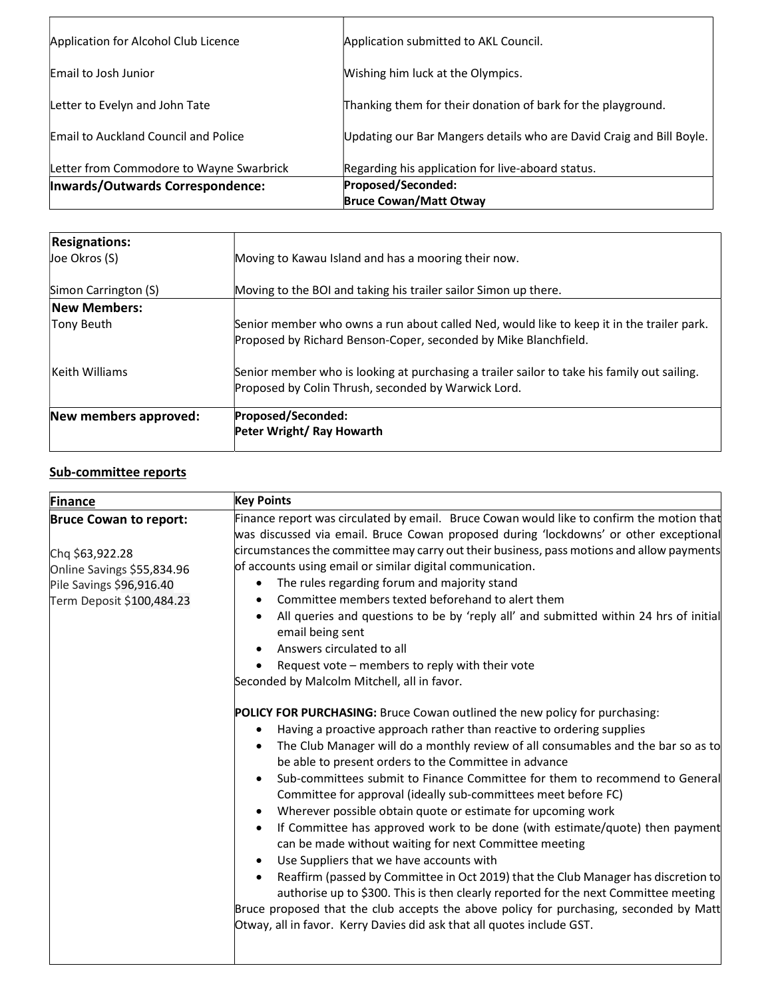| Application for Alcohol Club Licence        | Application submitted to AKL Council.                                |
|---------------------------------------------|----------------------------------------------------------------------|
| Email to Josh Junior                        | Wishing him luck at the Olympics.                                    |
| Letter to Evelyn and John Tate              | Thanking them for their donation of bark for the playground.         |
| <b>Email to Auckland Council and Police</b> | Updating our Bar Mangers details who are David Craig and Bill Boyle. |
| Letter from Commodore to Wayne Swarbrick    | Regarding his application for live-aboard status.                    |
| Inwards/Outwards Correspondence:            | Proposed/Seconded:                                                   |
|                                             | <b>Bruce Cowan/Matt Otway</b>                                        |

| <b>Resignations:</b><br>$ $ Joe Okros (S) | Moving to Kawau Island and has a mooring their now.                                                                                                          |
|-------------------------------------------|--------------------------------------------------------------------------------------------------------------------------------------------------------------|
| Simon Carrington (S)                      | Moving to the BOI and taking his trailer sailor Simon up there.                                                                                              |
| New Members:                              |                                                                                                                                                              |
| Tony Beuth                                | Senior member who owns a run about called Ned, would like to keep it in the trailer park.<br>Proposed by Richard Benson-Coper, seconded by Mike Blanchfield. |
| Keith Williams                            | Senior member who is looking at purchasing a trailer sailor to take his family out sailing.<br>Proposed by Colin Thrush, seconded by Warwick Lord.           |
| New members approved:                     | Proposed/Seconded:<br>Peter Wright/ Ray Howarth                                                                                                              |

## Sub-committee reports

| Finance                                                                                                                                 | <b>Key Points</b>                                                                                                                                                                                                                                                                                                                                                                                                                                                                                                                                                                                                                                                                                                                                                                                                                                                                                                                                                                                                                                                                                                                                                                                                                                                                                                                                                                                                                                                                                                                                |
|-----------------------------------------------------------------------------------------------------------------------------------------|--------------------------------------------------------------------------------------------------------------------------------------------------------------------------------------------------------------------------------------------------------------------------------------------------------------------------------------------------------------------------------------------------------------------------------------------------------------------------------------------------------------------------------------------------------------------------------------------------------------------------------------------------------------------------------------------------------------------------------------------------------------------------------------------------------------------------------------------------------------------------------------------------------------------------------------------------------------------------------------------------------------------------------------------------------------------------------------------------------------------------------------------------------------------------------------------------------------------------------------------------------------------------------------------------------------------------------------------------------------------------------------------------------------------------------------------------------------------------------------------------------------------------------------------------|
| <b>Bruce Cowan to report:</b><br>Chg \$63,922.28<br>Online Savings \$55,834.96<br>Pile Savings \$96,916.40<br>Term Deposit \$100,484.23 | Finance report was circulated by email. Bruce Cowan would like to confirm the motion that<br>was discussed via email. Bruce Cowan proposed during 'lockdowns' or other exceptional<br>circumstances the committee may carry out their business, pass motions and allow payments<br>of accounts using email or similar digital communication.<br>The rules regarding forum and majority stand<br>$\bullet$<br>Committee members texted beforehand to alert them<br>٠<br>All queries and questions to be by 'reply all' and submitted within 24 hrs of initial<br>$\bullet$<br>email being sent<br>Answers circulated to all<br>Request vote - members to reply with their vote<br>Seconded by Malcolm Mitchell, all in favor.<br>POLICY FOR PURCHASING: Bruce Cowan outlined the new policy for purchasing:<br>Having a proactive approach rather than reactive to ordering supplies<br>٠<br>The Club Manager will do a monthly review of all consumables and the bar so as to<br>be able to present orders to the Committee in advance<br>Sub-committees submit to Finance Committee for them to recommend to General<br>Committee for approval (ideally sub-committees meet before FC)<br>Wherever possible obtain quote or estimate for upcoming work<br>If Committee has approved work to be done (with estimate/quote) then payment<br>can be made without waiting for next Committee meeting<br>Use Suppliers that we have accounts with<br>Reaffirm (passed by Committee in Oct 2019) that the Club Manager has discretion to<br>$\bullet$ |
|                                                                                                                                         | authorise up to \$300. This is then clearly reported for the next Committee meeting<br>Bruce proposed that the club accepts the above policy for purchasing, seconded by Matt<br>Otway, all in favor. Kerry Davies did ask that all quotes include GST.                                                                                                                                                                                                                                                                                                                                                                                                                                                                                                                                                                                                                                                                                                                                                                                                                                                                                                                                                                                                                                                                                                                                                                                                                                                                                          |